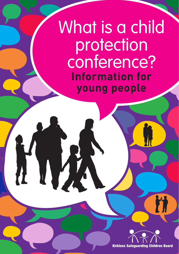# What is a child protection conference? **Information for young people**

J.

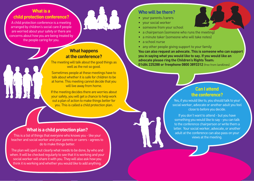## **What is a child protection conference?**

A child protection conference is a meeting arranged by children's social care if people are worried about your safety or there are concerns about how you are being treated by the people caring for you.



### **What happens at the conference?**

The meeting will talk about the good things as well as the not so good.

Sometimes people at these meetings have to talk about whether it is safe for children to be at home. This meeting cannot decide that you will live away from home.

If the meeting decides there are worries about your safety, you will get a chance to help work out a plan of action to make things better for you. This is called a child protection plan.

#### **What is a child protection plan?**

This is a list of things that everyone who knows you - like your teacher and social worker and your parents or carers - agrees to do to make things better.

The plan will spell out clearly what needs to be done, by who and when. It will be checked regularly to see that it is working and your social worker will share it with you. They will also ask how you think it is working and whether you would like to add anything.

### **Who will be there?**

- your parents /carers
- your social worker
- someone from your school
- a chairperson (someone who runs the meeting)
- a minute taker (someone who will take notes)
- a school nurse
- any other people giving support to your family

**You can also request an advocate. This is someone who can support you in saying what you would like to say. If you would like an advocate please ring the Children's Rights Team: 01484 225288 or freephone 0800 3893312** (free from landlines)

### **Can I attend the conference?**

Yes, if you would like to, you should talk to your social worker, advocate or another adult you feel close to before you decide.

If you don't want to attend - but you have something you would like to say - you can talk to the conference chairperson or write them a letter. Your social worker, advocate, or another adult at the conference can also pass on your views at the meeting.